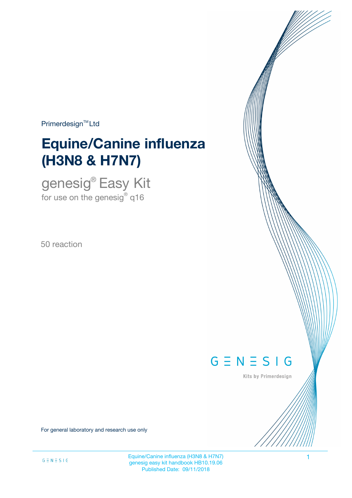$Primerdesign^{\text{TM}}$ Ltd

# **Equine/Canine influenza (H3N8 & H7N7)**

genesig® Easy Kit for use on the genesig $^\circ$  q16

50 reaction



Kits by Primerdesign

For general laboratory and research use only

Equine/Canine influenza (H3N8 & H7N7) 1 genesig easy kit handbook HB10.19.06 Published Date: 09/11/2018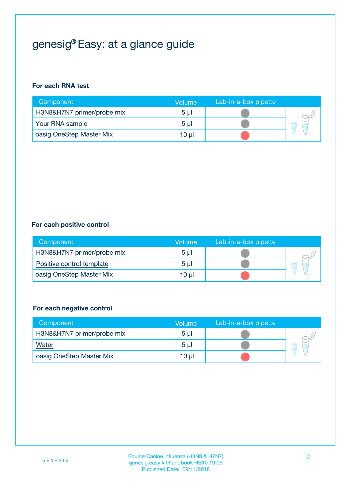## genesig® Easy: at a glance guide

#### **For each RNA test**

| Component                  | <b>Volume</b>  | Lab-in-a-box pipette |  |
|----------------------------|----------------|----------------------|--|
| H3N8&H7N7 primer/probe mix | 5 <sub>µ</sub> |                      |  |
| Your RNA sample            | 5 <sub>µ</sub> |                      |  |
| oasig OneStep Master Mix   | 10 µl          |                      |  |

#### **For each positive control**

| Component                  | Volume         | Lab-in-a-box pipette |  |
|----------------------------|----------------|----------------------|--|
| H3N8&H7N7 primer/probe mix | 5 <sub>µ</sub> |                      |  |
| Positive control template  | 5 <sub>µ</sub> |                      |  |
| oasig OneStep Master Mix   | 10 µl          |                      |  |

#### **For each negative control**

| Component                  | <b>Volume</b>   | Lab-in-a-box pipette |   |
|----------------------------|-----------------|----------------------|---|
| H3N8&H7N7 primer/probe mix | 5 <sub>µ</sub>  |                      |   |
| Water                      | 5 <sub>µ</sub>  |                      | - |
| oasig OneStep Master Mix   | 10 <sub>µ</sub> |                      |   |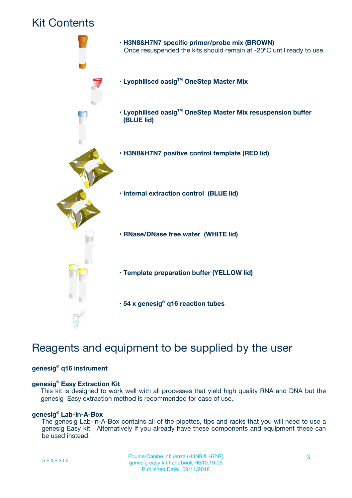### Kit Contents



## Reagents and equipment to be supplied by the user

#### **genesig® q16 instrument**

#### **genesig® Easy Extraction Kit**

This kit is designed to work well with all processes that yield high quality RNA and DNA but the genesig Easy extraction method is recommended for ease of use.

#### **genesig® Lab-In-A-Box**

The genesig Lab-In-A-Box contains all of the pipettes, tips and racks that you will need to use a genesig Easy kit. Alternatively if you already have these components and equipment these can be used instead.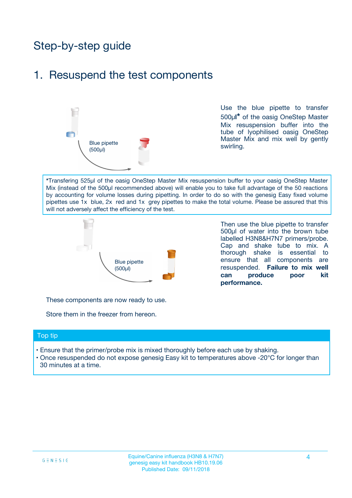## Step-by-step guide

### 1. Resuspend the test components



Use the blue pipette to transfer 500µ**l\*** of the oasig OneStep Master Mix resuspension buffer into the tube of lyophilised oasig OneStep Master Mix and mix well by gently swirling.

**\***Transfering 525µl of the oasig OneStep Master Mix resuspension buffer to your oasig OneStep Master Mix (instead of the 500µl recommended above) will enable you to take full advantage of the 50 reactions by accounting for volume losses during pipetting. In order to do so with the genesig Easy fixed volume pipettes use 1x blue, 2x red and 1x grey pipettes to make the total volume. Please be assured that this will not adversely affect the efficiency of the test.



Then use the blue pipette to transfer 500µl of water into the brown tube labelled H3N8&H7N7 primers/probe. Cap and shake tube to mix. A thorough shake is essential to ensure that all components are resuspended. **Failure to mix well can produce poor kit performance.**

These components are now ready to use.

Store them in the freezer from hereon.

#### Top tip

- Ensure that the primer/probe mix is mixed thoroughly before each use by shaking.
- Once resuspended do not expose genesig Easy kit to temperatures above -20°C for longer than 30 minutes at a time.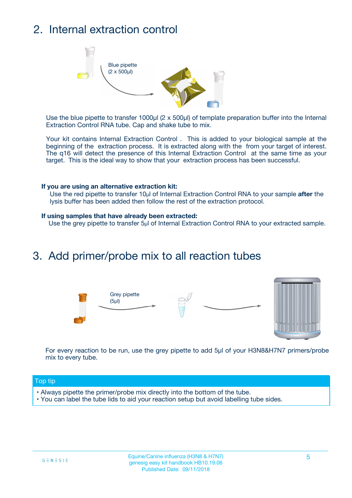## 2. Internal extraction control



Use the blue pipette to transfer 1000µl (2 x 500µl) of template preparation buffer into the Internal Extraction Control RNA tube. Cap and shake tube to mix.

Your kit contains Internal Extraction Control . This is added to your biological sample at the beginning of the extraction process. It is extracted along with the from your target of interest. The q16 will detect the presence of this Internal Extraction Control at the same time as your target. This is the ideal way to show that your extraction process has been successful.

#### **If you are using an alternative extraction kit:**

Use the red pipette to transfer 10µl of Internal Extraction Control RNA to your sample **after** the lysis buffer has been added then follow the rest of the extraction protocol.

#### **If using samples that have already been extracted:**

Use the grey pipette to transfer 5µl of Internal Extraction Control RNA to your extracted sample.

### 3. Add primer/probe mix to all reaction tubes





For every reaction to be run, use the grey pipette to add 5µl of your H3N8&H7N7 primers/probe mix to every tube.

#### Top tip

- Always pipette the primer/probe mix directly into the bottom of the tube.
- You can label the tube lids to aid your reaction setup but avoid labelling tube sides.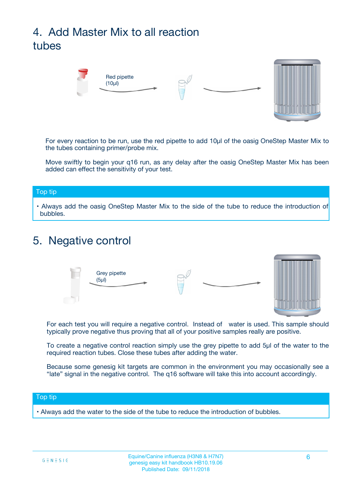## 4. Add Master Mix to all reaction tubes



For every reaction to be run, use the red pipette to add 10µl of the oasig OneStep Master Mix to the tubes containing primer/probe mix.

Move swiftly to begin your q16 run, as any delay after the oasig OneStep Master Mix has been added can effect the sensitivity of your test.

#### Top tip

**•** Always add the oasig OneStep Master Mix to the side of the tube to reduce the introduction of bubbles.

### 5. Negative control



For each test you will require a negative control. Instead of water is used. This sample should typically prove negative thus proving that all of your positive samples really are positive.

To create a negative control reaction simply use the grey pipette to add 5µl of the water to the required reaction tubes. Close these tubes after adding the water.

Because some genesig kit targets are common in the environment you may occasionally see a "late" signal in the negative control. The q16 software will take this into account accordingly.

#### Top tip

**•** Always add the water to the side of the tube to reduce the introduction of bubbles.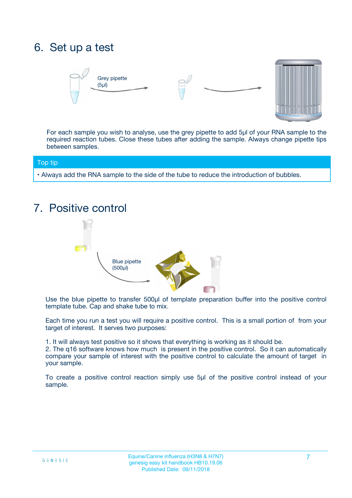## 6. Set up a test





For each sample you wish to analyse, use the grey pipette to add 5µl of your RNA sample to the required reaction tubes. Close these tubes after adding the sample. Always change pipette tips between samples.

#### Top tip

**•** Always add the RNA sample to the side of the tube to reduce the introduction of bubbles.

## 7. Positive control



Use the blue pipette to transfer 500µl of template preparation buffer into the positive control template tube. Cap and shake tube to mix.

Each time you run a test you will require a positive control. This is a small portion of from your target of interest. It serves two purposes:

1. It will always test positive so it shows that everything is working as it should be.

2. The q16 software knows how much is present in the positive control. So it can automatically compare your sample of interest with the positive control to calculate the amount of target in your sample.

To create a positive control reaction simply use 5µl of the positive control instead of your sample.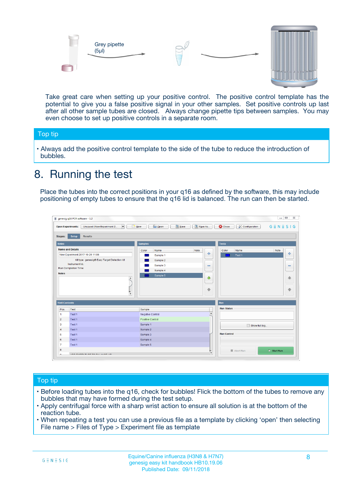



Take great care when setting up your positive control. The positive control template has the potential to give you a false positive signal in your other samples. Set positive controls up last after all other sample tubes are closed. Always change pipette tips between samples. You may even choose to set up positive controls in a separate room.

#### Top tip

**•** Always add the positive control template to the side of the tube to reduce the introduction of bubbles.

## 8. Running the test

Place the tubes into the correct positions in your q16 as defined by the software, this may include positioning of empty tubes to ensure that the q16 lid is balanced. The run can then be started.

|                                                | Unsaved (New Experiment 2<br><b>Open Experiments:</b><br>$\overline{\phantom{a}}$ | <b>E</b> Open<br>Save<br>$\Box$ New | Save As          | <b>C</b> Close<br>Configuration | $G \equiv N \equiv S \mid G$ |
|------------------------------------------------|-----------------------------------------------------------------------------------|-------------------------------------|------------------|---------------------------------|------------------------------|
| <b>Stages:</b>                                 | Setup<br><b>Results</b>                                                           |                                     |                  |                                 |                              |
| <b>Notes</b>                                   |                                                                                   | <b>Samples</b>                      |                  | <b>Tests</b>                    |                              |
|                                                | <b>Name and Details</b>                                                           | Color<br>Name                       | Note             | Color<br>Name                   | Note                         |
|                                                | New Experiment 2017-10-26 11:06                                                   | Sample 1                            | 4                | Test 1                          | 4                            |
|                                                | Kit type: genesig® Easy Target Detection kit                                      | Sample 2                            |                  |                                 |                              |
|                                                | Instrument Id.:                                                                   | Sample 3                            | $\equiv$         |                                 | $\equiv$                     |
|                                                | <b>Run Completion Time:</b>                                                       | Sample 4                            |                  |                                 |                              |
| <b>Notes</b>                                   | $\blacktriangle$                                                                  | Sample 5                            | ♦                |                                 | 傦                            |
|                                                |                                                                                   |                                     |                  |                                 |                              |
|                                                | $\overline{\mathbf{v}}$                                                           |                                     | ÷                |                                 |                              |
| <b>Well Contents</b>                           |                                                                                   |                                     |                  | Run                             | ⊕                            |
|                                                | Test                                                                              | Sample                              |                  | <b>Run Status</b>               |                              |
|                                                | Test 1                                                                            | Negative Control                    | $\blacktriangle$ |                                 |                              |
| Pos.<br>$\blacktriangleleft$<br>$\overline{2}$ | Test 1                                                                            | Positive Control                    |                  |                                 |                              |
| 3                                              | Test 1                                                                            | Sample 1                            |                  |                                 |                              |
|                                                | Test 1                                                                            | Sample 2                            |                  | Show full log                   |                              |
| $\overline{4}$<br>5                            | Test 1                                                                            | Sample 3                            |                  | <b>Run Control</b>              |                              |
|                                                | Test 1                                                                            | Sample 4                            |                  |                                 |                              |
| 6<br>$\overline{7}$                            | Test 1                                                                            | Sample 5                            |                  |                                 |                              |

#### Top tip

- Before loading tubes into the q16, check for bubbles! Flick the bottom of the tubes to remove any bubbles that may have formed during the test setup.
- Apply centrifugal force with a sharp wrist action to ensure all solution is at the bottom of the reaction tube.
- When repeating a test you can use a previous file as a template by clicking 'open' then selecting File name > Files of Type > Experiment file as template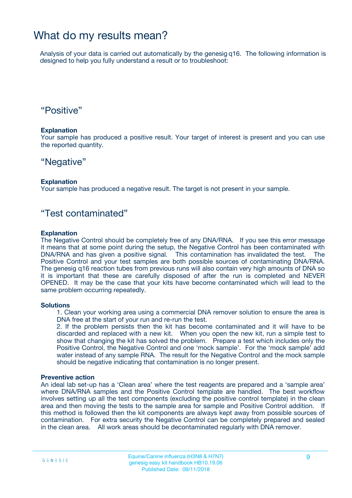### What do my results mean?

Analysis of your data is carried out automatically by the genesig q16. The following information is designed to help you fully understand a result or to troubleshoot:

### "Positive"

#### **Explanation**

Your sample has produced a positive result. Your target of interest is present and you can use the reported quantity.

### "Negative"

#### **Explanation**

Your sample has produced a negative result. The target is not present in your sample.

### "Test contaminated"

#### **Explanation**

The Negative Control should be completely free of any DNA/RNA. If you see this error message it means that at some point during the setup, the Negative Control has been contaminated with DNA/RNA and has given a positive signal. This contamination has invalidated the test. The Positive Control and your test samples are both possible sources of contaminating DNA/RNA. The genesig q16 reaction tubes from previous runs will also contain very high amounts of DNA so it is important that these are carefully disposed of after the run is completed and NEVER OPENED. It may be the case that your kits have become contaminated which will lead to the same problem occurring repeatedly.

#### **Solutions**

1. Clean your working area using a commercial DNA remover solution to ensure the area is DNA free at the start of your run and re-run the test.

2. If the problem persists then the kit has become contaminated and it will have to be discarded and replaced with a new kit. When you open the new kit, run a simple test to show that changing the kit has solved the problem. Prepare a test which includes only the Positive Control, the Negative Control and one 'mock sample'. For the 'mock sample' add water instead of any sample RNA. The result for the Negative Control and the mock sample should be negative indicating that contamination is no longer present.

#### **Preventive action**

An ideal lab set-up has a 'Clean area' where the test reagents are prepared and a 'sample area' where DNA/RNA samples and the Positive Control template are handled. The best workflow involves setting up all the test components (excluding the positive control template) in the clean area and then moving the tests to the sample area for sample and Positive Control addition. If this method is followed then the kit components are always kept away from possible sources of contamination. For extra security the Negative Control can be completely prepared and sealed in the clean area. All work areas should be decontaminated regularly with DNA remover.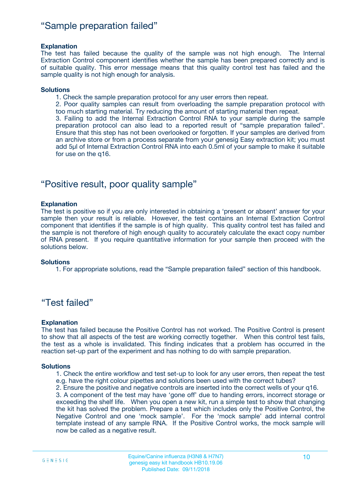### "Sample preparation failed"

#### **Explanation**

The test has failed because the quality of the sample was not high enough. The Internal Extraction Control component identifies whether the sample has been prepared correctly and is of suitable quality. This error message means that this quality control test has failed and the sample quality is not high enough for analysis.

#### **Solutions**

1. Check the sample preparation protocol for any user errors then repeat.

2. Poor quality samples can result from overloading the sample preparation protocol with too much starting material. Try reducing the amount of starting material then repeat.

3. Failing to add the Internal Extraction Control RNA to your sample during the sample preparation protocol can also lead to a reported result of "sample preparation failed". Ensure that this step has not been overlooked or forgotten. If your samples are derived from an archive store or from a process separate from your genesig Easy extraction kit; you must add 5µl of Internal Extraction Control RNA into each 0.5ml of your sample to make it suitable for use on the q16.

### "Positive result, poor quality sample"

#### **Explanation**

The test is positive so if you are only interested in obtaining a 'present or absent' answer for your sample then your result is reliable. However, the test contains an Internal Extraction Control component that identifies if the sample is of high quality. This quality control test has failed and the sample is not therefore of high enough quality to accurately calculate the exact copy number of RNA present. If you require quantitative information for your sample then proceed with the solutions below.

#### **Solutions**

1. For appropriate solutions, read the "Sample preparation failed" section of this handbook.

### "Test failed"

#### **Explanation**

The test has failed because the Positive Control has not worked. The Positive Control is present to show that all aspects of the test are working correctly together. When this control test fails, the test as a whole is invalidated. This finding indicates that a problem has occurred in the reaction set-up part of the experiment and has nothing to do with sample preparation.

#### **Solutions**

1. Check the entire workflow and test set-up to look for any user errors, then repeat the test e.g. have the right colour pipettes and solutions been used with the correct tubes?

2. Ensure the positive and negative controls are inserted into the correct wells of your q16.

3. A component of the test may have 'gone off' due to handing errors, incorrect storage or exceeding the shelf life. When you open a new kit, run a simple test to show that changing the kit has solved the problem. Prepare a test which includes only the Positive Control, the Negative Control and one 'mock sample'. For the 'mock sample' add internal control template instead of any sample RNA. If the Positive Control works, the mock sample will now be called as a negative result.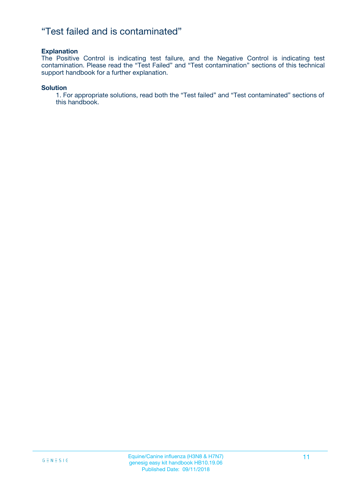### "Test failed and is contaminated"

#### **Explanation**

The Positive Control is indicating test failure, and the Negative Control is indicating test contamination. Please read the "Test Failed" and "Test contamination" sections of this technical support handbook for a further explanation.

#### **Solution**

1. For appropriate solutions, read both the "Test failed" and "Test contaminated" sections of this handbook.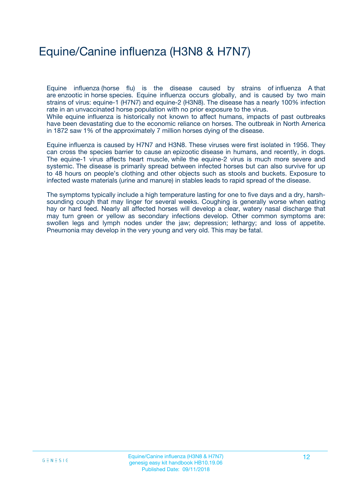## Equine/Canine influenza (H3N8 & H7N7)

Equine influenza (horse flu) is the disease caused by strains of influenza A that are enzootic in horse species. Equine influenza occurs globally, and is caused by two main strains of virus: equine-1 (H7N7) and equine-2 (H3N8). The disease has a nearly 100% infection rate in an unvaccinated horse population with no prior exposure to the virus.

While equine influenza is historically not known to affect humans, impacts of past outbreaks have been devastating due to the economic reliance on horses. The outbreak in North America in 1872 saw 1% of the approximately 7 million horses dying of the disease.

Equine influenza is caused by H7N7 and H3N8. These viruses were first isolated in 1956. They can cross the species barrier to cause an epizootic disease in humans, and recently, in dogs. The equine-1 virus affects heart muscle, while the equine-2 virus is much more severe and systemic. The disease is primarily spread between infected horses but can also survive for up to 48 hours on people's clothing and other objects such as stools and buckets. Exposure to infected waste materials (urine and manure) in stables leads to rapid spread of the disease.

The symptoms typically include a high temperature lasting for one to five days and a dry, harshsounding cough that may linger for several weeks. Coughing is generally worse when eating hay or hard feed. Nearly all affected horses will develop a clear, watery nasal discharge that may turn green or yellow as secondary infections develop. Other common symptoms are: swollen legs and lymph nodes under the jaw; depression; lethargy; and loss of appetite. Pneumonia may develop in the very young and very old. This may be fatal.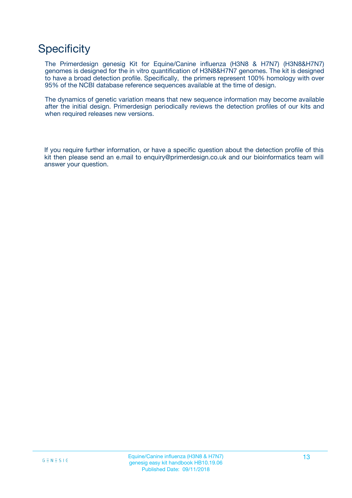## **Specificity**

The Primerdesign genesig Kit for Equine/Canine influenza (H3N8 & H7N7) (H3N8&H7N7) genomes is designed for the in vitro quantification of H3N8&H7N7 genomes. The kit is designed to have a broad detection profile. Specifically, the primers represent 100% homology with over 95% of the NCBI database reference sequences available at the time of design.

The dynamics of genetic variation means that new sequence information may become available after the initial design. Primerdesign periodically reviews the detection profiles of our kits and when required releases new versions.

If you require further information, or have a specific question about the detection profile of this kit then please send an e.mail to enquiry@primerdesign.co.uk and our bioinformatics team will answer your question.